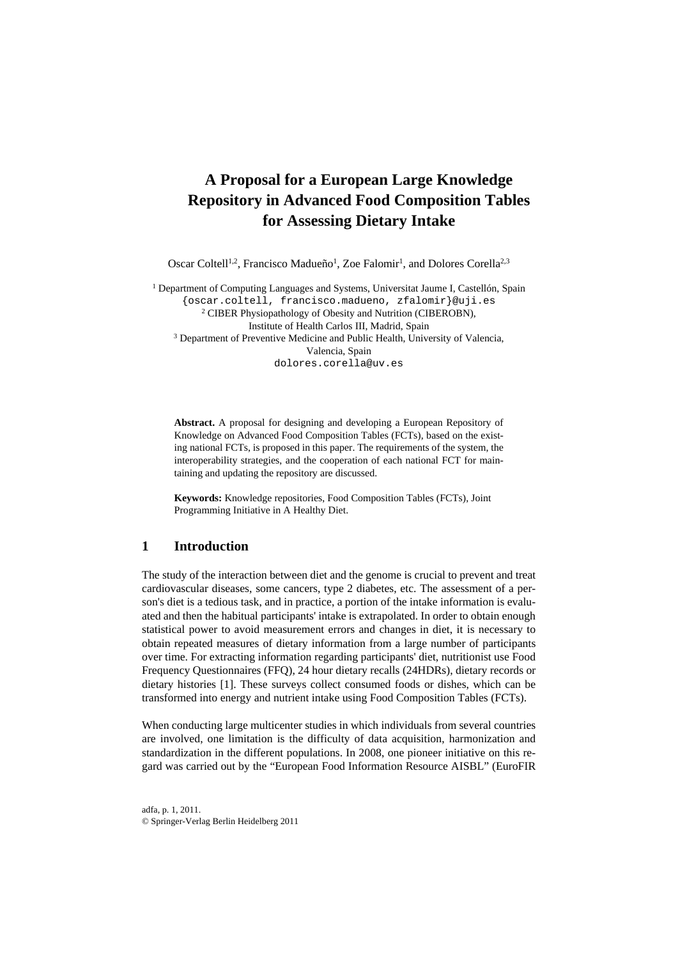# **A Proposal for a European Large Knowledge Repository in Advanced Food Composition Tables for Assessing Dietary Intake**

Oscar Coltell<sup>1,2</sup>, Francisco Madueño<sup>1</sup>, Zoe Falomir<sup>1</sup>, and Dolores Corella<sup>2,3</sup>

<sup>1</sup> Department of Computing Languages and Systems, Universitat Jaume I, Castellón, Spain {oscar.coltell, francisco.madueno, zfalomir}@uji.es 2 CIBER Physiopathology of Obesity and Nutrition (CIBEROBN), Institute of Health Carlos III, Madrid, Spain 3 Department of Preventive Medicine and Public Health, University of Valencia, Valencia, Spain dolores.corella@uv.es

**Abstract.** A proposal for designing and developing a European Repository of Knowledge on Advanced Food Composition Tables (FCTs), based on the existing national FCTs, is proposed in this paper. The requirements of the system, the interoperability strategies, and the cooperation of each national FCT for maintaining and updating the repository are discussed.

**Keywords:** Knowledge repositories, Food Composition Tables (FCTs), Joint Programming Initiative in A Healthy Diet.

#### **1 Introduction**

The study of the interaction between diet and the genome is crucial to prevent and treat cardiovascular diseases, some cancers, type 2 diabetes, etc. The assessment of a person's diet is a tedious task, and in practice, a portion of the intake information is evaluated and then the habitual participants' intake is extrapolated. In order to obtain enough statistical power to avoid measurement errors and changes in diet, it is necessary to obtain repeated measures of dietary information from a large number of participants over time. For extracting information regarding participants' diet, nutritionist use Food Frequency Questionnaires (FFQ), 24 hour dietary recalls (24HDRs), dietary records or dietary histories [1]. These surveys collect consumed foods or dishes, which can be transformed into energy and nutrient intake using Food Composition Tables (FCTs).

When conducting large multicenter studies in which individuals from several countries are involved, one limitation is the difficulty of data acquisition, harmonization and standardization in the different populations. In 2008, one pioneer initiative on this regard was carried out by the "European Food Information Resource AISBL" (EuroFIR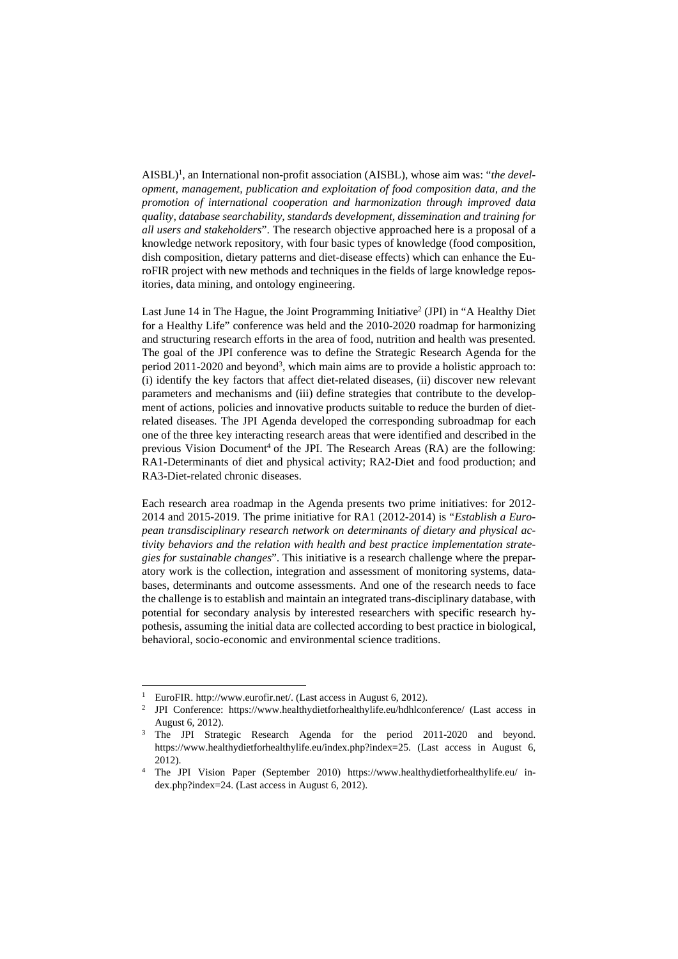AISBL)<sup>1</sup>, an International non-profit association (AISBL), whose aim was: "the devel*opment, management, publication and exploitation of food composition data, and the promotion of international cooperation and harmonization through improved data quality, database searchability, standards development, dissemination and training for all users and stakeholders*". The research objective approached here is a proposal of a knowledge network repository, with four basic types of knowledge (food composition, dish composition, dietary patterns and diet-disease effects) which can enhance the EuroFIR project with new methods and techniques in the fields of large knowledge repositories, data mining, and ontology engineering.

Last June 14 in The Hague, the Joint Programming Initiative<sup>2</sup> (JPI) in "A Healthy Diet for a Healthy Life" conference was held and the 2010-2020 roadmap for harmonizing and structuring research efforts in the area of food, nutrition and health was presented. The goal of the JPI conference was to define the Strategic Research Agenda for the period 2011-2020 and beyond<sup>3</sup>, which main aims are to provide a holistic approach to: (i) identify the key factors that affect diet-related diseases, (ii) discover new relevant parameters and mechanisms and (iii) define strategies that contribute to the development of actions, policies and innovative products suitable to reduce the burden of dietrelated diseases. The JPI Agenda developed the corresponding subroadmap for each one of the three key interacting research areas that were identified and described in the previous Vision Document<sup>4</sup> of the JPI. The Research Areas (RA) are the following: RA1-Determinants of diet and physical activity; RA2-Diet and food production; and RA3-Diet-related chronic diseases.

Each research area roadmap in the Agenda presents two prime initiatives: for 2012- 2014 and 2015-2019. The prime initiative for RA1 (2012-2014) is "*Establish a European transdisciplinary research network on determinants of dietary and physical activity behaviors and the relation with health and best practice implementation strategies for sustainable changes*". This initiative is a research challenge where the preparatory work is the collection, integration and assessment of monitoring systems, databases, determinants and outcome assessments. And one of the research needs to face the challenge is to establish and maintain an integrated trans-disciplinary database, with potential for secondary analysis by interested researchers with specific research hypothesis, assuming the initial data are collected according to best practice in biological, behavioral, socio-economic and environmental science traditions.

 $\overline{a}$ 

<sup>&</sup>lt;sup>1</sup> EuroFIR. http://www.eurofir.net/. (Last access in August 6, 2012).<br><sup>2</sup> JPI Conference: https://www.healthydietforhealthylife.eu/hdhlconference/ (Last access in

August 6, 2012). 3 The JPI Strategic Research Agenda for the period 2011-2020 and beyond. https://www.healthydietforhealthylife.eu/index.php?index=25. (Last access in August 6,

<sup>2012). 4</sup> The JPI Vision Paper (September 2010) https://www.healthydietforhealthylife.eu/ index.php?index=24. (Last access in August 6, 2012).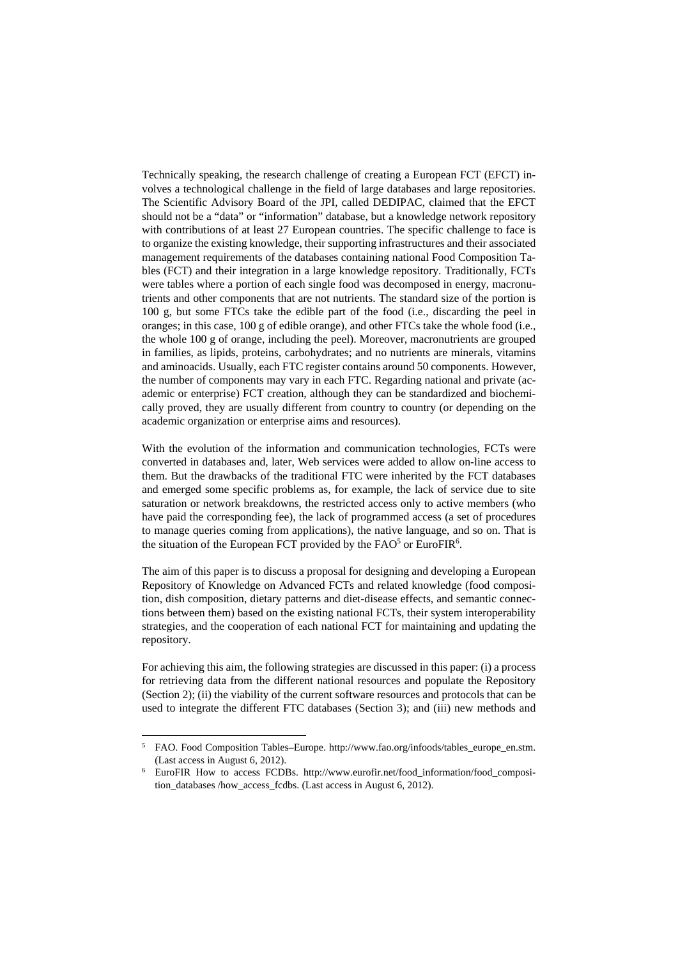Technically speaking, the research challenge of creating a European FCT (EFCT) involves a technological challenge in the field of large databases and large repositories. The Scientific Advisory Board of the JPI, called DEDIPAC, claimed that the EFCT should not be a "data" or "information" database, but a knowledge network repository with contributions of at least 27 European countries. The specific challenge to face is to organize the existing knowledge, their supporting infrastructures and their associated management requirements of the databases containing national Food Composition Tables (FCT) and their integration in a large knowledge repository. Traditionally, FCTs were tables where a portion of each single food was decomposed in energy, macronutrients and other components that are not nutrients. The standard size of the portion is 100 g, but some FTCs take the edible part of the food (i.e., discarding the peel in oranges; in this case, 100 g of edible orange), and other FTCs take the whole food (i.e., the whole 100 g of orange, including the peel). Moreover, macronutrients are grouped in families, as lipids, proteins, carbohydrates; and no nutrients are minerals, vitamins and aminoacids. Usually, each FTC register contains around 50 components. However, the number of components may vary in each FTC. Regarding national and private (academic or enterprise) FCT creation, although they can be standardized and biochemically proved, they are usually different from country to country (or depending on the academic organization or enterprise aims and resources).

With the evolution of the information and communication technologies, FCTs were converted in databases and, later, Web services were added to allow on-line access to them. But the drawbacks of the traditional FTC were inherited by the FCT databases and emerged some specific problems as, for example, the lack of service due to site saturation or network breakdowns, the restricted access only to active members (who have paid the corresponding fee), the lack of programmed access (a set of procedures to manage queries coming from applications), the native language, and so on. That is the situation of the European FCT provided by the  $FAO<sup>5</sup>$  or EuroFIR<sup>6</sup>.

The aim of this paper is to discuss a proposal for designing and developing a European Repository of Knowledge on Advanced FCTs and related knowledge (food composition, dish composition, dietary patterns and diet-disease effects, and semantic connections between them) based on the existing national FCTs, their system interoperability strategies, and the cooperation of each national FCT for maintaining and updating the repository.

For achieving this aim, the following strategies are discussed in this paper: (i) a process for retrieving data from the different national resources and populate the Repository (Section 2); (ii) the viability of the current software resources and protocols that can be used to integrate the different FTC databases (Section 3); and (iii) new methods and

 $\overline{\phantom{a}}$ 

<sup>5</sup> FAO. Food Composition Tables–Europe. http://www.fao.org/infoods/tables\_europe\_en.stm. (Last access in August 6, 2012). 6 EuroFIR How to access FCDBs. http://www.eurofir.net/food\_information/food\_composi-

tion\_databases /how\_access\_fcdbs. (Last access in August 6, 2012).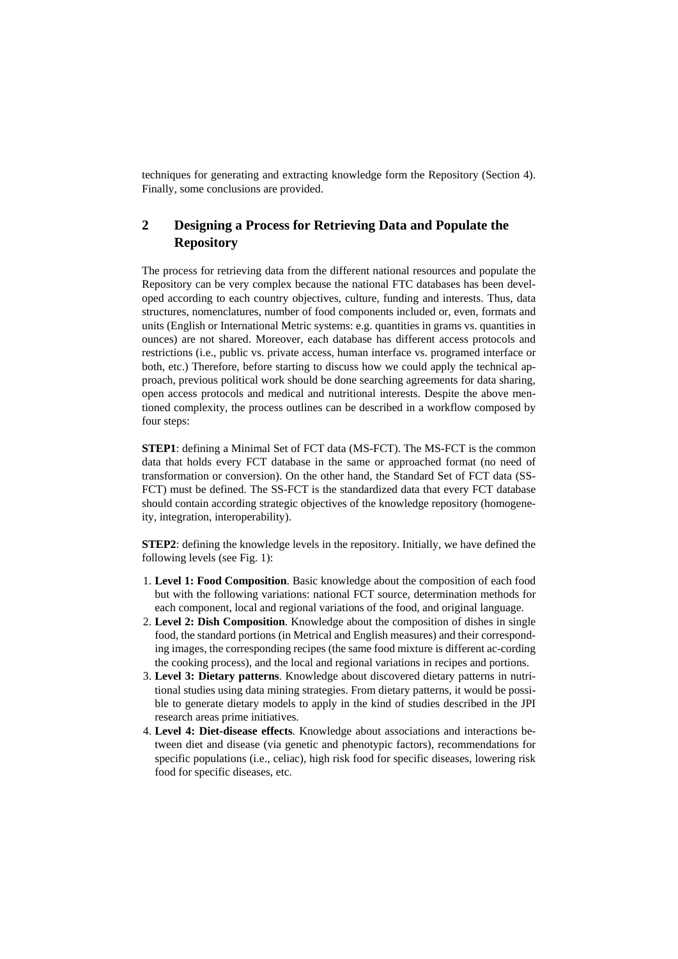techniques for generating and extracting knowledge form the Repository (Section 4). Finally, some conclusions are provided.

# **2 Designing a Process for Retrieving Data and Populate the Repository**

The process for retrieving data from the different national resources and populate the Repository can be very complex because the national FTC databases has been developed according to each country objectives, culture, funding and interests. Thus, data structures, nomenclatures, number of food components included or, even, formats and units (English or International Metric systems: e.g. quantities in grams vs. quantities in ounces) are not shared. Moreover, each database has different access protocols and restrictions (i.e., public vs. private access, human interface vs. programed interface or both, etc.) Therefore, before starting to discuss how we could apply the technical approach, previous political work should be done searching agreements for data sharing, open access protocols and medical and nutritional interests. Despite the above mentioned complexity, the process outlines can be described in a workflow composed by four steps:

**STEP1**: defining a Minimal Set of FCT data (MS-FCT). The MS-FCT is the common data that holds every FCT database in the same or approached format (no need of transformation or conversion). On the other hand, the Standard Set of FCT data (SS-FCT) must be defined. The SS-FCT is the standardized data that every FCT database should contain according strategic objectives of the knowledge repository (homogeneity, integration, interoperability).

**STEP2**: defining the knowledge levels in the repository. Initially, we have defined the following levels (see Fig. 1):

- 1. **Level 1: Food Composition**. Basic knowledge about the composition of each food but with the following variations: national FCT source, determination methods for each component, local and regional variations of the food, and original language.
- 2. **Level 2: Dish Composition**. Knowledge about the composition of dishes in single food, the standard portions (in Metrical and English measures) and their corresponding images, the corresponding recipes (the same food mixture is different ac-cording the cooking process), and the local and regional variations in recipes and portions.
- 3. **Level 3: Dietary patterns**. Knowledge about discovered dietary patterns in nutritional studies using data mining strategies. From dietary patterns, it would be possible to generate dietary models to apply in the kind of studies described in the JPI research areas prime initiatives.
- 4. **Level 4: Diet-disease effects**. Knowledge about associations and interactions between diet and disease (via genetic and phenotypic factors), recommendations for specific populations (i.e., celiac), high risk food for specific diseases, lowering risk food for specific diseases, etc.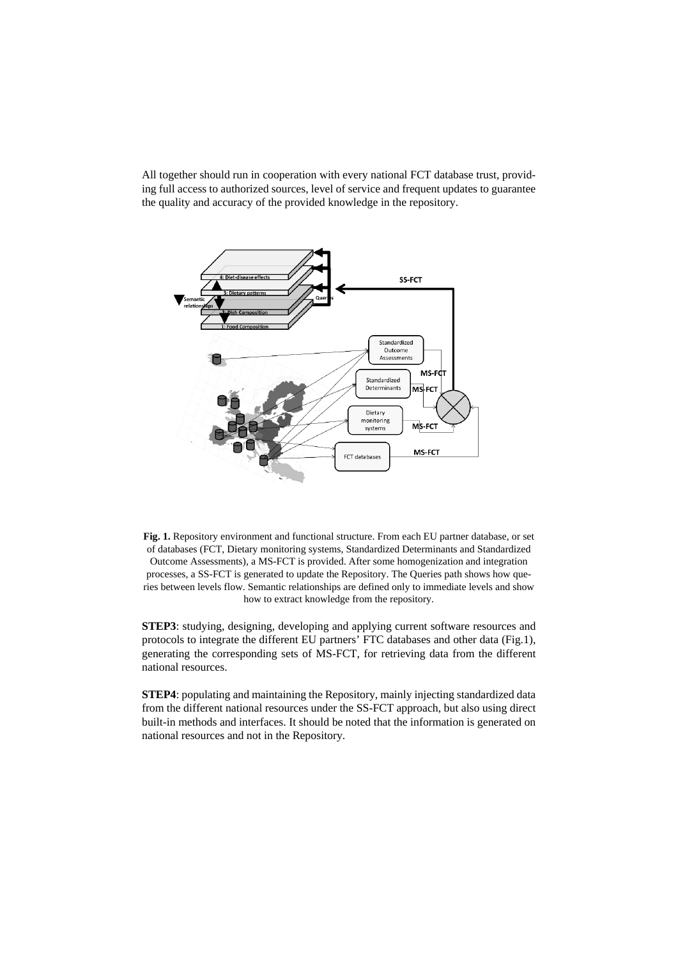All together should run in cooperation with every national FCT database trust, providing full access to authorized sources, level of service and frequent updates to guarantee the quality and accuracy of the provided knowledge in the repository.





**STEP3**: studying, designing, developing and applying current software resources and protocols to integrate the different EU partners' FTC databases and other data (Fig.1), generating the corresponding sets of MS-FCT, for retrieving data from the different national resources.

**STEP4**: populating and maintaining the Repository, mainly injecting standardized data from the different national resources under the SS-FCT approach, but also using direct built-in methods and interfaces. It should be noted that the information is generated on national resources and not in the Repository.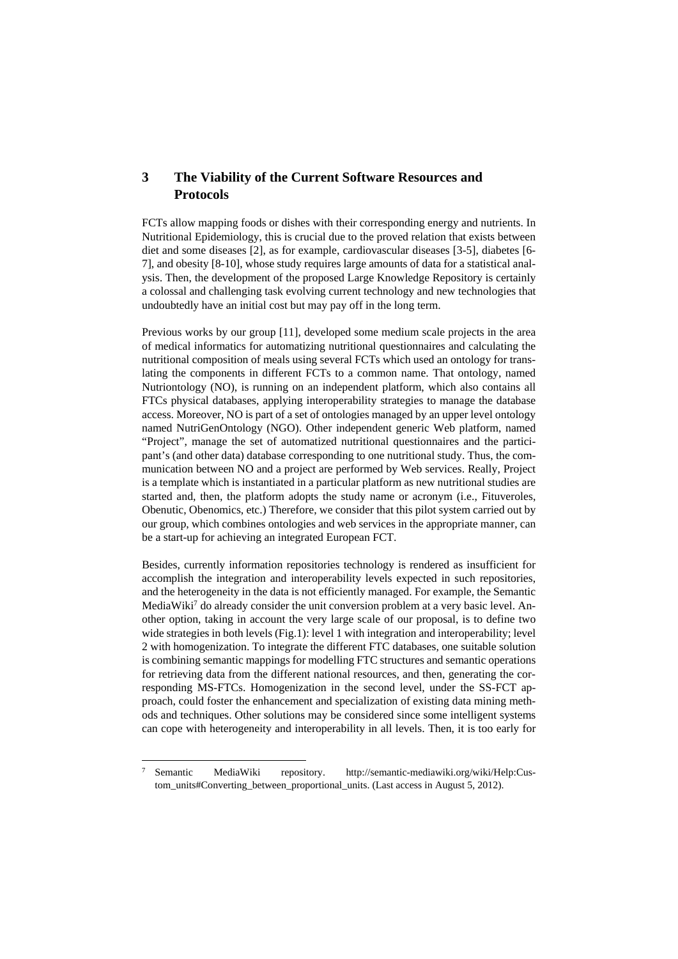## **3 The Viability of the Current Software Resources and Protocols**

FCTs allow mapping foods or dishes with their corresponding energy and nutrients. In Nutritional Epidemiology, this is crucial due to the proved relation that exists between diet and some diseases [2], as for example, cardiovascular diseases [3-5], diabetes [6- 7], and obesity [8-10], whose study requires large amounts of data for a statistical analysis. Then, the development of the proposed Large Knowledge Repository is certainly a colossal and challenging task evolving current technology and new technologies that undoubtedly have an initial cost but may pay off in the long term.

Previous works by our group [11], developed some medium scale projects in the area of medical informatics for automatizing nutritional questionnaires and calculating the nutritional composition of meals using several FCTs which used an ontology for translating the components in different FCTs to a common name. That ontology, named Nutriontology (NO), is running on an independent platform, which also contains all FTCs physical databases, applying interoperability strategies to manage the database access. Moreover, NO is part of a set of ontologies managed by an upper level ontology named NutriGenOntology (NGO). Other independent generic Web platform, named "Project", manage the set of automatized nutritional questionnaires and the participant's (and other data) database corresponding to one nutritional study. Thus, the communication between NO and a project are performed by Web services. Really, Project is a template which is instantiated in a particular platform as new nutritional studies are started and, then, the platform adopts the study name or acronym (i.e., Fituveroles, Obenutic, Obenomics, etc.) Therefore, we consider that this pilot system carried out by our group, which combines ontologies and web services in the appropriate manner, can be a start-up for achieving an integrated European FCT.

Besides, currently information repositories technology is rendered as insufficient for accomplish the integration and interoperability levels expected in such repositories, and the heterogeneity in the data is not efficiently managed. For example, the Semantic MediaWiki<sup>7</sup> do already consider the unit conversion problem at a very basic level. Another option, taking in account the very large scale of our proposal, is to define two wide strategies in both levels (Fig.1): level 1 with integration and interoperability; level 2 with homogenization. To integrate the different FTC databases, one suitable solution is combining semantic mappings for modelling FTC structures and semantic operations for retrieving data from the different national resources, and then, generating the corresponding MS-FTCs. Homogenization in the second level, under the SS-FCT approach, could foster the enhancement and specialization of existing data mining methods and techniques. Other solutions may be considered since some intelligent systems can cope with heterogeneity and interoperability in all levels. Then, it is too early for

 $\overline{a}$ 

<sup>7</sup> Semantic MediaWiki repository. http://semantic-mediawiki.org/wiki/Help:Custom\_units#Converting\_between\_proportional\_units. (Last access in August 5, 2012).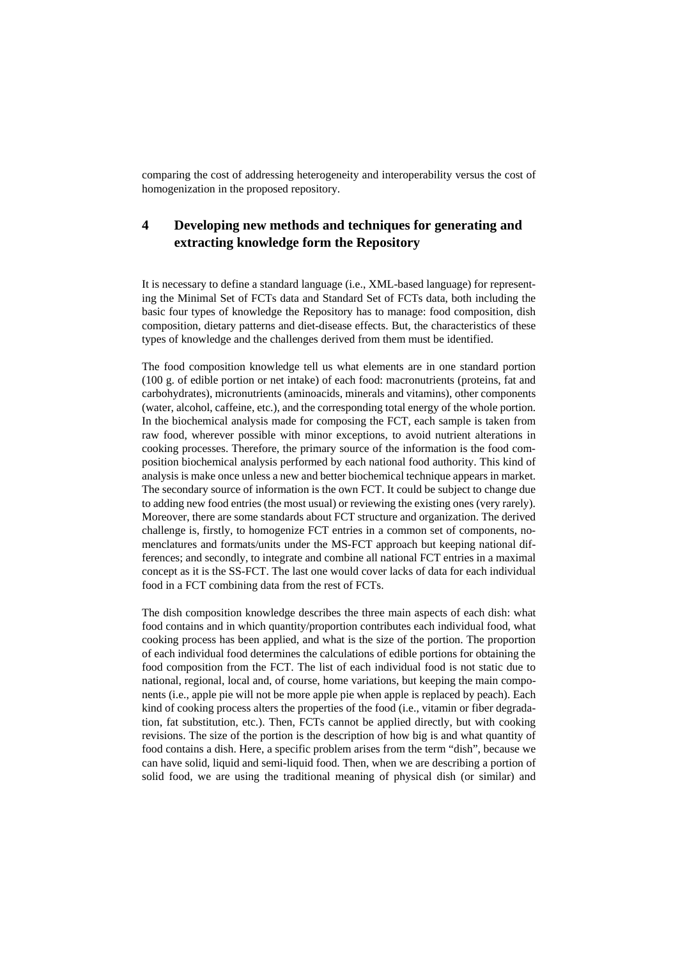comparing the cost of addressing heterogeneity and interoperability versus the cost of homogenization in the proposed repository.

## **4 Developing new methods and techniques for generating and extracting knowledge form the Repository**

It is necessary to define a standard language (i.e., XML-based language) for representing the Minimal Set of FCTs data and Standard Set of FCTs data, both including the basic four types of knowledge the Repository has to manage: food composition, dish composition, dietary patterns and diet-disease effects. But, the characteristics of these types of knowledge and the challenges derived from them must be identified.

The food composition knowledge tell us what elements are in one standard portion (100 g. of edible portion or net intake) of each food: macronutrients (proteins, fat and carbohydrates), micronutrients (aminoacids, minerals and vitamins), other components (water, alcohol, caffeine, etc.), and the corresponding total energy of the whole portion. In the biochemical analysis made for composing the FCT, each sample is taken from raw food, wherever possible with minor exceptions, to avoid nutrient alterations in cooking processes. Therefore, the primary source of the information is the food composition biochemical analysis performed by each national food authority. This kind of analysis is make once unless a new and better biochemical technique appears in market. The secondary source of information is the own FCT. It could be subject to change due to adding new food entries (the most usual) or reviewing the existing ones (very rarely). Moreover, there are some standards about FCT structure and organization. The derived challenge is, firstly, to homogenize FCT entries in a common set of components, nomenclatures and formats/units under the MS-FCT approach but keeping national differences; and secondly, to integrate and combine all national FCT entries in a maximal concept as it is the SS-FCT. The last one would cover lacks of data for each individual food in a FCT combining data from the rest of FCTs.

The dish composition knowledge describes the three main aspects of each dish: what food contains and in which quantity/proportion contributes each individual food, what cooking process has been applied, and what is the size of the portion. The proportion of each individual food determines the calculations of edible portions for obtaining the food composition from the FCT. The list of each individual food is not static due to national, regional, local and, of course, home variations, but keeping the main components (i.e., apple pie will not be more apple pie when apple is replaced by peach). Each kind of cooking process alters the properties of the food (i.e., vitamin or fiber degradation, fat substitution, etc.). Then, FCTs cannot be applied directly, but with cooking revisions. The size of the portion is the description of how big is and what quantity of food contains a dish. Here, a specific problem arises from the term "dish", because we can have solid, liquid and semi-liquid food. Then, when we are describing a portion of solid food, we are using the traditional meaning of physical dish (or similar) and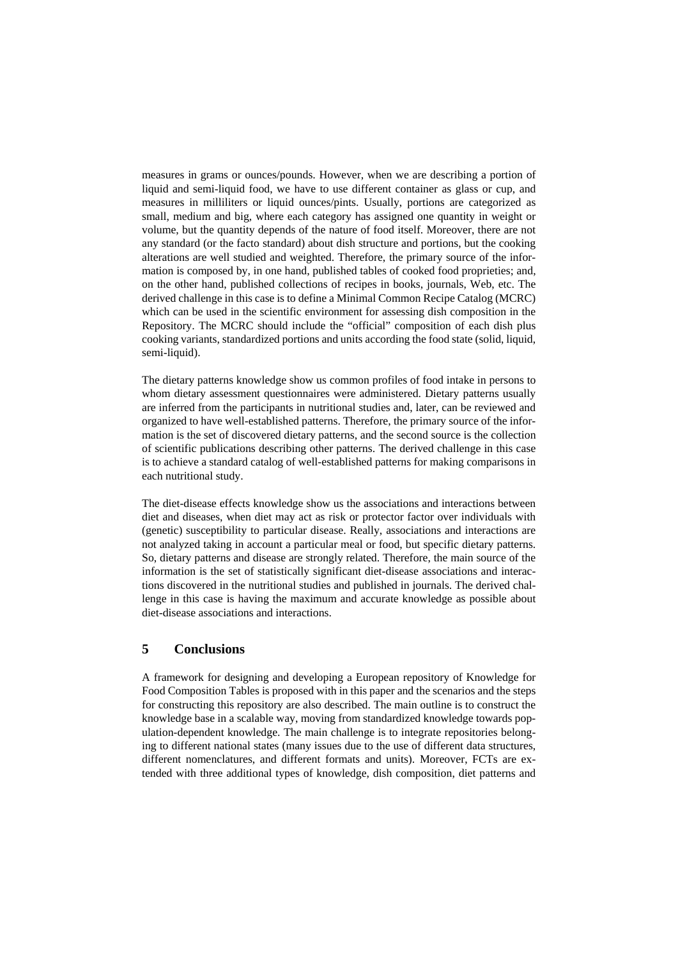measures in grams or ounces/pounds. However, when we are describing a portion of liquid and semi-liquid food, we have to use different container as glass or cup, and measures in milliliters or liquid ounces/pints. Usually, portions are categorized as small, medium and big, where each category has assigned one quantity in weight or volume, but the quantity depends of the nature of food itself. Moreover, there are not any standard (or the facto standard) about dish structure and portions, but the cooking alterations are well studied and weighted. Therefore, the primary source of the information is composed by, in one hand, published tables of cooked food proprieties; and, on the other hand, published collections of recipes in books, journals, Web, etc. The derived challenge in this case is to define a Minimal Common Recipe Catalog (MCRC) which can be used in the scientific environment for assessing dish composition in the Repository. The MCRC should include the "official" composition of each dish plus cooking variants, standardized portions and units according the food state (solid, liquid, semi-liquid).

The dietary patterns knowledge show us common profiles of food intake in persons to whom dietary assessment questionnaires were administered. Dietary patterns usually are inferred from the participants in nutritional studies and, later, can be reviewed and organized to have well-established patterns. Therefore, the primary source of the information is the set of discovered dietary patterns, and the second source is the collection of scientific publications describing other patterns. The derived challenge in this case is to achieve a standard catalog of well-established patterns for making comparisons in each nutritional study.

The diet-disease effects knowledge show us the associations and interactions between diet and diseases, when diet may act as risk or protector factor over individuals with (genetic) susceptibility to particular disease. Really, associations and interactions are not analyzed taking in account a particular meal or food, but specific dietary patterns. So, dietary patterns and disease are strongly related. Therefore, the main source of the information is the set of statistically significant diet-disease associations and interactions discovered in the nutritional studies and published in journals. The derived challenge in this case is having the maximum and accurate knowledge as possible about diet-disease associations and interactions.

### **5 Conclusions**

A framework for designing and developing a European repository of Knowledge for Food Composition Tables is proposed with in this paper and the scenarios and the steps for constructing this repository are also described. The main outline is to construct the knowledge base in a scalable way, moving from standardized knowledge towards population-dependent knowledge. The main challenge is to integrate repositories belonging to different national states (many issues due to the use of different data structures, different nomenclatures, and different formats and units). Moreover, FCTs are extended with three additional types of knowledge, dish composition, diet patterns and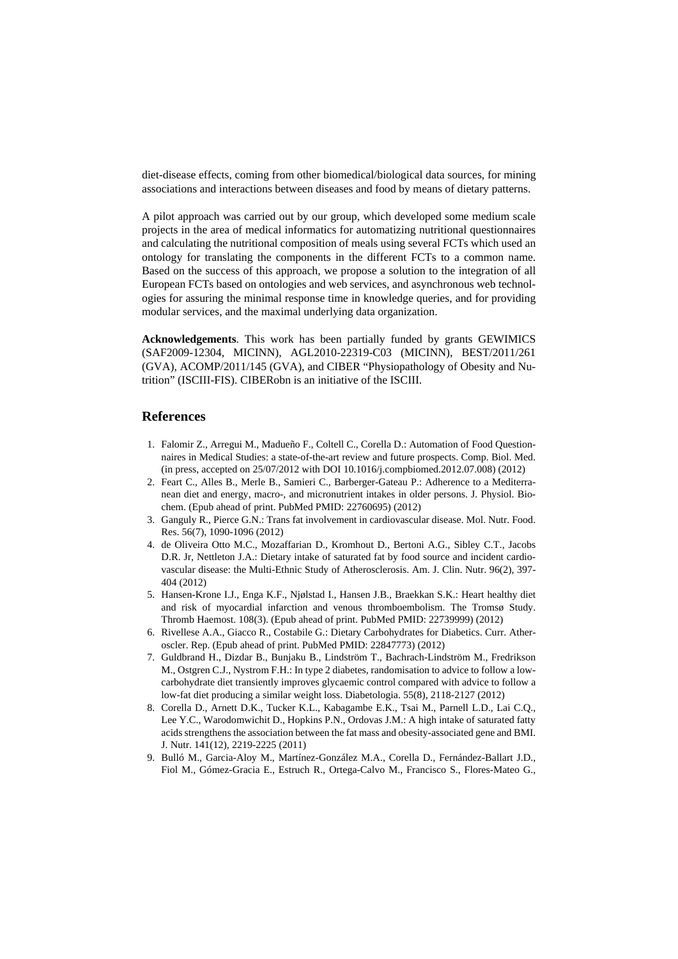diet-disease effects, coming from other biomedical/biological data sources, for mining associations and interactions between diseases and food by means of dietary patterns.

A pilot approach was carried out by our group, which developed some medium scale projects in the area of medical informatics for automatizing nutritional questionnaires and calculating the nutritional composition of meals using several FCTs which used an ontology for translating the components in the different FCTs to a common name. Based on the success of this approach, we propose a solution to the integration of all European FCTs based on ontologies and web services, and asynchronous web technologies for assuring the minimal response time in knowledge queries, and for providing modular services, and the maximal underlying data organization.

**Acknowledgements**. This work has been partially funded by grants GEWIMICS (SAF2009-12304, MICINN), AGL2010-22319-C03 (MICINN), BEST/2011/261 (GVA), ACOMP/2011/145 (GVA), and CIBER "Physiopathology of Obesity and Nutrition" (ISCIII-FIS). CIBERobn is an initiative of the ISCIII.

#### **References**

- 1. Falomir Z., Arregui M., Madueño F., Coltell C., Corella D.: Automation of Food Questionnaires in Medical Studies: a state-of-the-art review and future prospects. Comp. Biol. Med. (in press, accepted on 25/07/2012 with DOI 10.1016/j.compbiomed.2012.07.008) (2012)
- 2. Feart C., Alles B., Merle B., Samieri C., Barberger-Gateau P.: Adherence to a Mediterranean diet and energy, macro-, and micronutrient intakes in older persons. J. Physiol. Biochem. (Epub ahead of print. PubMed PMID: 22760695) (2012)
- 3. Ganguly R., Pierce G.N.: Trans fat involvement in cardiovascular disease. Mol. Nutr. Food. Res. 56(7), 1090-1096 (2012)
- 4. de Oliveira Otto M.C., Mozaffarian D., Kromhout D., Bertoni A.G., Sibley C.T., Jacobs D.R. Jr, Nettleton J.A.: Dietary intake of saturated fat by food source and incident cardiovascular disease: the Multi-Ethnic Study of Atherosclerosis. Am. J. Clin. Nutr. 96(2), 397- 404 (2012)
- 5. Hansen-Krone I.J., Enga K.F., Njølstad I., Hansen J.B., Braekkan S.K.: Heart healthy diet and risk of myocardial infarction and venous thromboembolism. The Tromsø Study. Thromb Haemost. 108(3). (Epub ahead of print. PubMed PMID: 22739999) (2012)
- 6. Rivellese A.A., Giacco R., Costabile G.: Dietary Carbohydrates for Diabetics. Curr. Atheroscler. Rep. (Epub ahead of print. PubMed PMID: 22847773) (2012)
- 7. Guldbrand H., Dizdar B., Bunjaku B., Lindström T., Bachrach-Lindström M., Fredrikson M., Ostgren C.J., Nystrom F.H.: In type 2 diabetes, randomisation to advice to follow a lowcarbohydrate diet transiently improves glycaemic control compared with advice to follow a low-fat diet producing a similar weight loss. Diabetologia. 55(8), 2118-2127 (2012)
- 8. Corella D., Arnett D.K., Tucker K.L., Kabagambe E.K., Tsai M., Parnell L.D., Lai C.Q., Lee Y.C., Warodomwichit D., Hopkins P.N., Ordovas J.M.: A high intake of saturated fatty acids strengthens the association between the fat mass and obesity-associated gene and BMI. J. Nutr. 141(12), 2219-2225 (2011)
- 9. Bulló M., Garcia-Aloy M., Martínez-González M.A., Corella D., Fernández-Ballart J.D., Fiol M., Gómez-Gracia E., Estruch R., Ortega-Calvo M., Francisco S., Flores-Mateo G.,